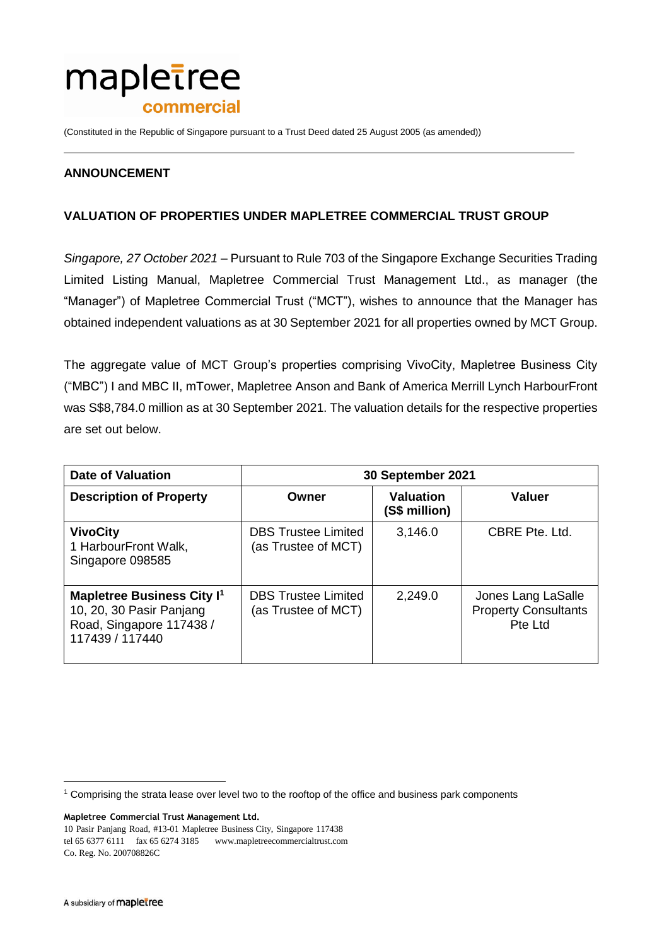

(Constituted in the Republic of Singapore pursuant to a Trust Deed dated 25 August 2005 (as amended))

## **ANNOUNCEMENT**

## **VALUATION OF PROPERTIES UNDER MAPLETREE COMMERCIAL TRUST GROUP**

*Singapore, 27 October 2021* – Pursuant to Rule 703 of the Singapore Exchange Securities Trading Limited Listing Manual, Mapletree Commercial Trust Management Ltd., as manager (the "Manager") of Mapletree Commercial Trust ("MCT"), wishes to announce that the Manager has obtained independent valuations as at 30 September 2021 for all properties owned by MCT Group.

The aggregate value of MCT Group's properties comprising VivoCity, Mapletree Business City ("MBC") I and MBC II, mTower, Mapletree Anson and Bank of America Merrill Lynch HarbourFront was S\$8,784.0 million as at 30 September 2021. The valuation details for the respective properties are set out below.

| <b>Date of Valuation</b>                                                                                                | 30 September 2021                                 |                                   |                                                              |
|-------------------------------------------------------------------------------------------------------------------------|---------------------------------------------------|-----------------------------------|--------------------------------------------------------------|
| <b>Description of Property</b>                                                                                          | Owner                                             | <b>Valuation</b><br>(S\$ million) | <b>Valuer</b>                                                |
| <b>VivoCity</b><br>1 HarbourFront Walk,<br>Singapore 098585                                                             | <b>DBS</b> Trustee Limited<br>(as Trustee of MCT) | 3,146.0                           | CBRE Pte. Ltd.                                               |
| <b>Mapletree Business City I<sup>1</sup></b><br>10, 20, 30 Pasir Panjang<br>Road, Singapore 117438 /<br>117439 / 117440 | <b>DBS</b> Trustee Limited<br>(as Trustee of MCT) | 2,249.0                           | Jones Lang LaSalle<br><b>Property Consultants</b><br>Pte Ltd |

**Mapletree Commercial Trust Management Ltd.**

 $\overline{a}$ 

<sup>&</sup>lt;sup>1</sup> Comprising the strata lease over level two to the rooftop of the office and business park components

<sup>10</sup> Pasir Panjang Road, #13-01 Mapletree Business City, Singapore 117438 tel 65 6377 6111 fax 65 6274 3185 [www.mapletreecommercialtrust.com](http://www.mapletree.com.sg/) Co. Reg. No. 200708826C